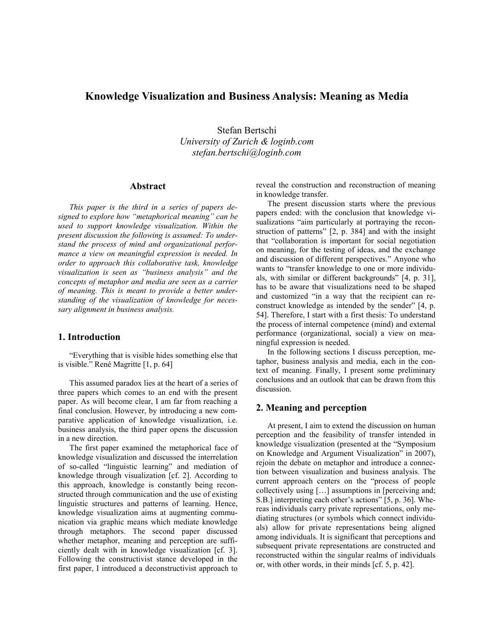# **Knowledge Visualization and Business Analysis: Meaning as Media**

Stefan Bertschi *University of Zurich & loginb.com stefan.bertschi@loginb.com*

# **Abstract**

*This paper is the third in a series of papers designed to explore how "metaphorical meaning" can be used to support knowledge visualization. Within the present discussion the following is assumed: To understand the process of mind and organizational performance a view on meaningful expression is needed. In order to approach this collaborative task, knowledge visualization is seen as "business analysis" and the concepts of metaphor and media are seen as a carrier of meaning. This is meant to provide a better understanding of the visualization of knowledge for necessary alignment in business analysis.* 

# **1. Introduction**

"Everything that is visible hides something else that is visible." René Magritte [1, p. 64]

This assumed paradox lies at the heart of a series of three papers which comes to an end with the present paper. As will become clear, I am far from reaching a final conclusion. However, by introducing a new comparative application of knowledge visualization, i.e. business analysis, the third paper opens the discussion in a new direction.

The first paper examined the metaphorical face of knowledge visualization and discussed the interrelation of so-called "linguistic learning" and mediation of knowledge through visualization [cf. 2]. According to this approach, knowledge is constantly being reconstructed through communication and the use of existing linguistic structures and patterns of learning. Hence, knowledge visualization aims at augmenting communication via graphic means which mediate knowledge through metaphors. The second paper discussed whether metaphor, meaning and perception are sufficiently dealt with in knowledge visualization [cf. 3]. Following the constructivist stance developed in the first paper, I introduced a deconstructivist approach to

reveal the construction and reconstruction of meaning in knowledge transfer.

The present discussion starts where the previous papers ended: with the conclusion that knowledge visualizations "aim particularly at portraying the reconstruction of patterns" [2, p. 384] and with the insight that "collaboration is important for social negotiation on meaning, for the testing of ideas, and the exchange and discussion of different perspectives." Anyone who wants to "transfer knowledge to one or more individuals, with similar or different backgrounds" [4, p. 31], has to be aware that visualizations need to be shaped and customized "in a way that the recipient can reconstruct knowledge as intended by the sender" [4, p. 54]. Therefore, I start with a first thesis: To understand the process of internal competence (mind) and external performance (organizational, social) a view on meaningful expression is needed.

In the following sections I discuss perception, metaphor, business analysis and media, each in the context of meaning. Finally, I present some preliminary conclusions and an outlook that can be drawn from this discussion.

# **2. Meaning and perception**

At present, I aim to extend the discussion on human perception and the feasibility of transfer intended in knowledge visualization (presented at the "Symposium on Knowledge and Argument Visualization" in 2007), rejoin the debate on metaphor and introduce a connection between visualization and business analysis. The current approach centers on the "process of people collectively using […] assumptions in [perceiving and; S.B.] interpreting each other's actions" [5, p. 36]. Whereas individuals carry private representations, only mediating structures (or symbols which connect individuals) allow for private representations being aligned among individuals. It is significant that perceptions and subsequent private representations are constructed and reconstructed within the singular realms of individuals or, with other words, in their minds [cf. 5, p. 42].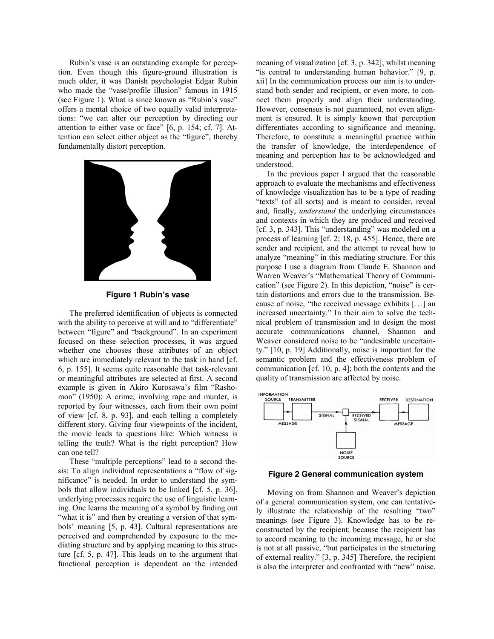Rubin's vase is an outstanding example for perception. Even though this figure-ground illustration is much older, it was Danish psychologist Edgar Rubin who made the "vase/profile illusion" famous in 1915 (see Figure 1). What is since known as "Rubin's vase" offers a mental choice of two equally valid interpretations: "we can alter our perception by directing our attention to either vase or face" [6, p. 154; cf. 7]. Attention can select either object as the "figure", thereby fundamentally distort perception.



**Figure 1 Rubin's vase** 

The preferred identification of objects is connected with the ability to perceive at will and to "differentiate" between "figure" and "background". In an experiment focused on these selection processes, it was argued whether one chooses those attributes of an object which are immediately relevant to the task in hand [cf.] 6, p. 155]. It seems quite reasonable that task-relevant or meaningful attributes are selected at first. A second example is given in Akiro Kurosawa's film "Rashomon" (1950): A crime, involving rape and murder, is reported by four witnesses, each from their own point of view [cf. 8, p. 93], and each telling a completely different story. Giving four viewpoints of the incident, the movie leads to questions like: Which witness is telling the truth? What is the right perception? How can one tell?

These "multiple perceptions" lead to a second thesis: To align individual representations a "flow of significance" is needed. In order to understand the symbols that allow individuals to be linked [cf. 5, p. 36], underlying processes require the use of linguistic learning. One learns the meaning of a symbol by finding out "what it is" and then by creating a version of that symbols' meaning [5, p. 43]. Cultural representations are perceived and comprehended by exposure to the mediating structure and by applying meaning to this structure [cf. 5, p. 47]. This leads on to the argument that functional perception is dependent on the intended

meaning of visualization [cf. 3, p. 342]; whilst meaning "is central to understanding human behavior." [9, p. xii] In the communication process our aim is to understand both sender and recipient, or even more, to connect them properly and align their understanding. However, consensus is not guaranteed, not even alignment is ensured. It is simply known that perception differentiates according to significance and meaning. Therefore, to constitute a meaningful practice within the transfer of knowledge, the interdependence of meaning and perception has to be acknowledged and understood.

In the previous paper I argued that the reasonable approach to evaluate the mechanisms and effectiveness of knowledge visualization has to be a type of reading "texts" (of all sorts) and is meant to consider, reveal and, finally, *understand* the underlying circumstances and contexts in which they are produced and received [cf. 3, p. 343]. This "understanding" was modeled on a process of learning [cf. 2; 18, p. 455]. Hence, there are sender and recipient, and the attempt to reveal how to analyze "meaning" in this mediating structure. For this purpose I use a diagram from Claude E. Shannon and Warren Weaver's "Mathematical Theory of Communication" (see Figure 2). In this depiction, "noise" is certain distortions and errors due to the transmission. Because of noise, "the received message exhibits […] an increased uncertainty." In their aim to solve the technical problem of transmission and to design the most accurate communications channel, Shannon and Weaver considered noise to be "undesirable uncertainty." [10, p. 19] Additionally, noise is important for the semantic problem and the effectiveness problem of communication [cf. 10, p. 4]; both the contents and the quality of transmission are affected by noise.



**Figure 2 General communication system** 

Moving on from Shannon and Weaver's depiction of a general communication system, one can tentatively illustrate the relationship of the resulting "two" meanings (see Figure 3). Knowledge has to be reconstructed by the recipient; because the recipient has to accord meaning to the incoming message, he or she is not at all passive, "but participates in the structuring of external reality." [3, p. 345] Therefore, the recipient is also the interpreter and confronted with "new" noise.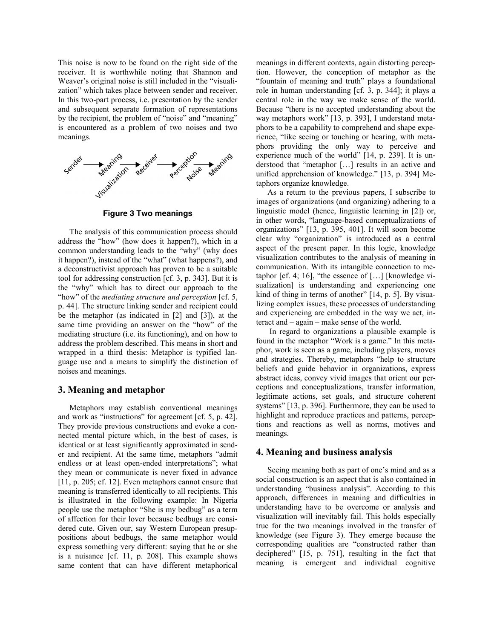This noise is now to be found on the right side of the receiver. It is worthwhile noting that Shannon and Weaver's original noise is still included in the "visualization" which takes place between sender and receiver. In this two-part process, i.e. presentation by the sender and subsequent separate formation of representations by the recipient, the problem of "noise" and "meaning" is encountered as a problem of two noises and two meanings.



**Figure 3 Two meanings** 

The analysis of this communication process should address the "how" (how does it happen?), which in a common understanding leads to the "why" (why does it happen?), instead of the "what" (what happens?), and a deconstructivist approach has proven to be a suitable tool for addressing construction [cf. 3, p. 343]. But it is the "why" which has to direct our approach to the "how" of the *mediating structure and perception* [cf. 5, p. 44]. The structure linking sender and recipient could be the metaphor (as indicated in [2] and [3]), at the same time providing an answer on the "how" of the mediating structure (i.e. its functioning), and on how to address the problem described. This means in short and wrapped in a third thesis: Metaphor is typified language use and a means to simplify the distinction of noises and meanings.

## **3. Meaning and metaphor**

Metaphors may establish conventional meanings and work as "instructions" for agreement [cf. 5, p. 42]. They provide previous constructions and evoke a connected mental picture which, in the best of cases, is identical or at least significantly approximated in sender and recipient. At the same time, metaphors "admit endless or at least open-ended interpretations"; what they mean or communicate is never fixed in advance [11, p. 205; cf. 12]. Even metaphors cannot ensure that meaning is transferred identically to all recipients. This is illustrated in the following example: In Nigeria people use the metaphor "She is my bedbug" as a term of affection for their lover because bedbugs are considered cute. Given our, say Western European presuppositions about bedbugs, the same metaphor would express something very different: saying that he or she is a nuisance [cf. 11, p. 208]. This example shows same content that can have different metaphorical

meanings in different contexts, again distorting perception. However, the conception of metaphor as the "fountain of meaning and truth" plays a foundational role in human understanding [cf. 3, p. 344]; it plays a central role in the way we make sense of the world. Because "there is no accepted understanding about the way metaphors work" [13, p. 393], I understand metaphors to be a capability to comprehend and shape experience, "like seeing or touching or hearing, with metaphors providing the only way to perceive and experience much of the world" [14, p. 239]. It is understood that "metaphor […] results in an active and unified apprehension of knowledge." [13, p. 394] Metaphors organize knowledge.

As a return to the previous papers, I subscribe to images of organizations (and organizing) adhering to a linguistic model (hence, linguistic learning in [2]) or, in other words, "language-based conceptualizations of organizations" [13, p. 395, 401]. It will soon become clear why "organization" is introduced as a central aspect of the present paper. In this logic, knowledge visualization contributes to the analysis of meaning in communication. With its intangible connection to metaphor [cf. 4; 16], "the essence of […] [knowledge visualization] is understanding and experiencing one kind of thing in terms of another" [14, p. 5]. By visualizing complex issues, these processes of understanding and experiencing are embedded in the way we act, interact and – again – make sense of the world.

 In regard to organizations a plausible example is found in the metaphor "Work is a game." In this metaphor, work is seen as a game, including players, moves and strategies. Thereby, metaphors "help to structure beliefs and guide behavior in organizations, express abstract ideas, convey vivid images that orient our perceptions and conceptualizations, transfer information, legitimate actions, set goals, and structure coherent systems" [13, p. 396]. Furthermore, they can be used to highlight and reproduce practices and patterns, perceptions and reactions as well as norms, motives and meanings.

## **4. Meaning and business analysis**

Seeing meaning both as part of one's mind and as a social construction is an aspect that is also contained in understanding "business analysis". According to this approach, differences in meaning and difficulties in understanding have to be overcome or analysis and visualization will inevitably fail. This holds especially true for the two meanings involved in the transfer of knowledge (see Figure 3). They emerge because the corresponding qualities are "constructed rather than deciphered" [15, p. 751], resulting in the fact that meaning is emergent and individual cognitive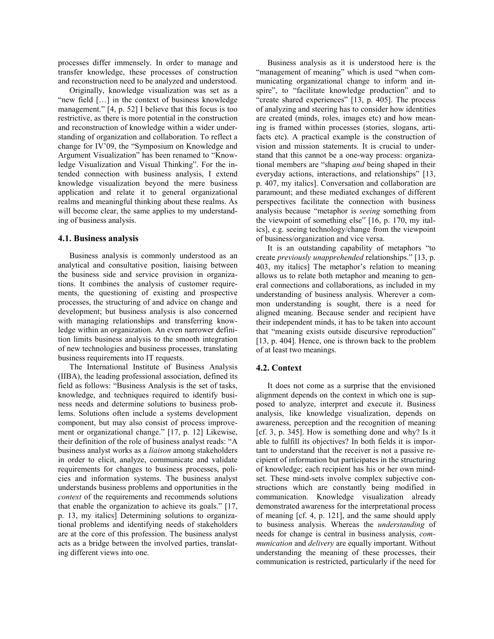processes differ immensely. In order to manage and transfer knowledge, these processes of construction and reconstruction need to be analyzed and understood.

Originally, knowledge visualization was set as a "new field […] in the context of business knowledge management." [4, p. 52] I believe that this focus is too restrictive, as there is more potential in the construction and reconstruction of knowledge within a wider understanding of organization and collaboration. To reflect a change for IV'09, the "Symposium on Knowledge and Argument Visualization" has been renamed to "Knowledge Visualization and Visual Thinking". For the intended connection with business analysis, I extend knowledge visualization beyond the mere business application and relate it to general organizational realms and meaningful thinking about these realms. As will become clear, the same applies to my understanding of business analysis.

#### **4.1. Business analysis**

Business analysis is commonly understood as an analytical and consultative position, liaising between the business side and service provision in organizations. It combines the analysis of customer requirements, the questioning of existing and prospective processes, the structuring of and advice on change and development; but business analysis is also concerned with managing relationships and transferring knowledge within an organization. An even narrower definition limits business analysis to the smooth integration of new technologies and business processes, translating business requirements into IT requests.

The International Institute of Business Analysis (IIBA), the leading professional association, defined its field as follows: "Business Analysis is the set of tasks, knowledge, and techniques required to identify business needs and determine solutions to business problems. Solutions often include a systems development component, but may also consist of process improvement or organizational change." [17, p. 12] Likewise, their definition of the role of business analyst reads: "A business analyst works as a *liaison* among stakeholders in order to elicit, analyze, communicate and validate requirements for changes to business processes, policies and information systems. The business analyst understands business problems and opportunities in the *context* of the requirements and recommends solutions that enable the organization to achieve its goals." [17, p. 13, my italics] Determining solutions to organizational problems and identifying needs of stakeholders are at the core of this profession. The business analyst acts as a bridge between the involved parties, translating different views into one.

Business analysis as it is understood here is the "management of meaning" which is used "when communicating organizational change to inform and inspire", to "facilitate knowledge production" and to "create shared experiences" [13, p. 405]. The process of analyzing and steering has to consider how identities are created (minds, roles, images etc) and how meaning is framed within processes (stories, slogans, artifacts etc). A practical example is the construction of vision and mission statements. It is crucial to understand that this cannot be a one-way process: organizational members are "shaping *and* being shaped in their everyday actions, interactions, and relationships" [13, p. 407, my italics]. Conversation and collaboration are paramount; and these mediated exchanges of different perspectives facilitate the connection with business analysis because "metaphor is *seeing* something from the viewpoint of something else" [16, p. 170, my italics], e.g. seeing technology/change from the viewpoint of business/organization and vice versa.

It is an outstanding capability of metaphors "to create *previously unapprehended* relationships." [13, p. 403, my italics] The metaphor's relation to meaning allows us to relate both metaphor and meaning to general connections and collaborations, as included in my understanding of business analysis. Wherever a common understanding is sought, there is a need for aligned meaning. Because sender and recipient have their independent minds, it has to be taken into account that "meaning exists outside discursive reproduction" [13, p. 404]. Hence, one is thrown back to the problem of at least two meanings.

#### **4.2. Context**

It does not come as a surprise that the envisioned alignment depends on the context in which one is supposed to analyze, interpret and execute it. Business analysis, like knowledge visualization, depends on awareness, perception and the recognition of meaning [cf. 3, p. 345]. How is something done and why? Is it able to fulfill its objectives? In both fields it is important to understand that the receiver is not a passive recipient of information but participates in the structuring of knowledge; each recipient has his or her own mindset. These mind-sets involve complex subjective constructions which are constantly being modified in communication. Knowledge visualization already demonstrated awareness for the interpretational process of meaning [cf. 4, p. 121], and the same should apply to business analysis. Whereas the *understanding* of needs for change is central in business analysis, *communication* and *delivery* are equally important. Without understanding the meaning of these processes, their communication is restricted, particularly if the need for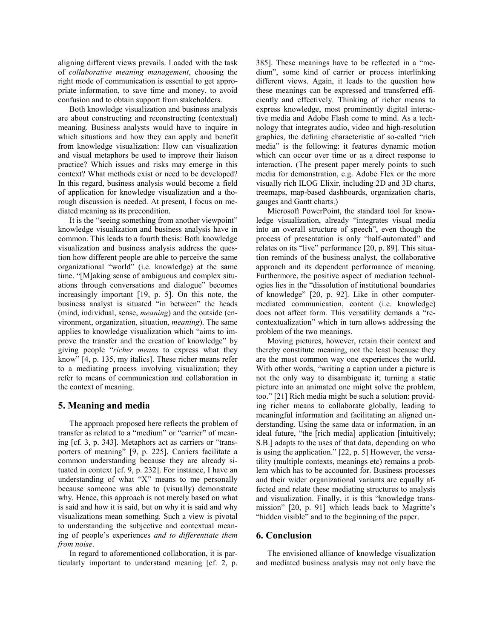aligning different views prevails. Loaded with the task of *collaborative meaning management*, choosing the right mode of communication is essential to get appropriate information, to save time and money, to avoid confusion and to obtain support from stakeholders.

Both knowledge visualization and business analysis are about constructing and reconstructing (contextual) meaning. Business analysts would have to inquire in which situations and how they can apply and benefit from knowledge visualization: How can visualization and visual metaphors be used to improve their liaison practice? Which issues and risks may emerge in this context? What methods exist or need to be developed? In this regard, business analysis would become a field of application for knowledge visualization and a thorough discussion is needed. At present, I focus on mediated meaning as its precondition.

It is the "seeing something from another viewpoint" knowledge visualization and business analysis have in common. This leads to a fourth thesis: Both knowledge visualization and business analysis address the question how different people are able to perceive the same organizational "world" (i.e. knowledge) at the same time. "[M]aking sense of ambiguous and complex situations through conversations and dialogue" becomes increasingly important [19, p. 5]. On this note, the business analyst is situated "in between" the heads (mind, individual, sense, *meaning*) and the outside (environment, organization, situation, *meaning*). The same applies to knowledge visualization which "aims to improve the transfer and the creation of knowledge" by giving people "*richer means* to express what they know" [4, p. 135, my italics]. These richer means refer to a mediating process involving visualization; they refer to means of communication and collaboration in the context of meaning.

## **5. Meaning and media**

The approach proposed here reflects the problem of transfer as related to a "medium" or "carrier" of meaning [cf. 3, p. 343]. Metaphors act as carriers or "transporters of meaning" [9, p. 225]. Carriers facilitate a common understanding because they are already situated in context [cf. 9, p. 232]. For instance, I have an understanding of what "X" means to me personally because someone was able to (visually) demonstrate why. Hence, this approach is not merely based on what is said and how it is said, but on why it is said and why visualizations mean something. Such a view is pivotal to understanding the subjective and contextual meaning of people's experiences *and to differentiate them from noise*.

In regard to aforementioned collaboration, it is particularly important to understand meaning [cf. 2, p. 385]. These meanings have to be reflected in a "medium", some kind of carrier or process interlinking different views. Again, it leads to the question how these meanings can be expressed and transferred efficiently and effectively. Thinking of richer means to express knowledge, most prominently digital interactive media and Adobe Flash come to mind. As a technology that integrates audio, video and high-resolution graphics, the defining characteristic of so-called "rich media" is the following: it features dynamic motion which can occur over time or as a direct response to interaction. (The present paper merely points to such media for demonstration, e.g. Adobe Flex or the more visually rich ILOG Elixir, including 2D and 3D charts, treemaps, map-based dashboards, organization charts, gauges and Gantt charts.)

Microsoft PowerPoint, the standard tool for knowledge visualization, already "integrates visual media into an overall structure of speech", even though the process of presentation is only "half-automated" and relates on its "live" performance [20, p. 89]. This situation reminds of the business analyst, the collaborative approach and its dependent performance of meaning. Furthermore, the positive aspect of mediation technologies lies in the "dissolution of institutional boundaries of knowledge" [20, p. 92]. Like in other computermediated communication, content (i.e. knowledge) does not affect form. This versatility demands a "recontextualization" which in turn allows addressing the problem of the two meanings.

Moving pictures, however, retain their context and thereby constitute meaning, not the least because they are the most common way one experiences the world. With other words, "writing a caption under a picture is not the only way to disambiguate it; turning a static picture into an animated one might solve the problem, too." [21] Rich media might be such a solution: providing richer means to collaborate globally, leading to meaningful information and facilitating an aligned understanding. Using the same data or information, in an ideal future, "the [rich media] application [intuitively; S.B.] adapts to the uses of that data, depending on who is using the application." [22, p. 5] However, the versatility (multiple contexts, meanings etc) remains a problem which has to be accounted for. Business processes and their wider organizational variants are equally affected and relate these mediating structures to analysis and visualization. Finally, it is this "knowledge transmission" [20, p. 91] which leads back to Magritte's "hidden visible" and to the beginning of the paper.

#### **6. Conclusion**

The envisioned alliance of knowledge visualization and mediated business analysis may not only have the